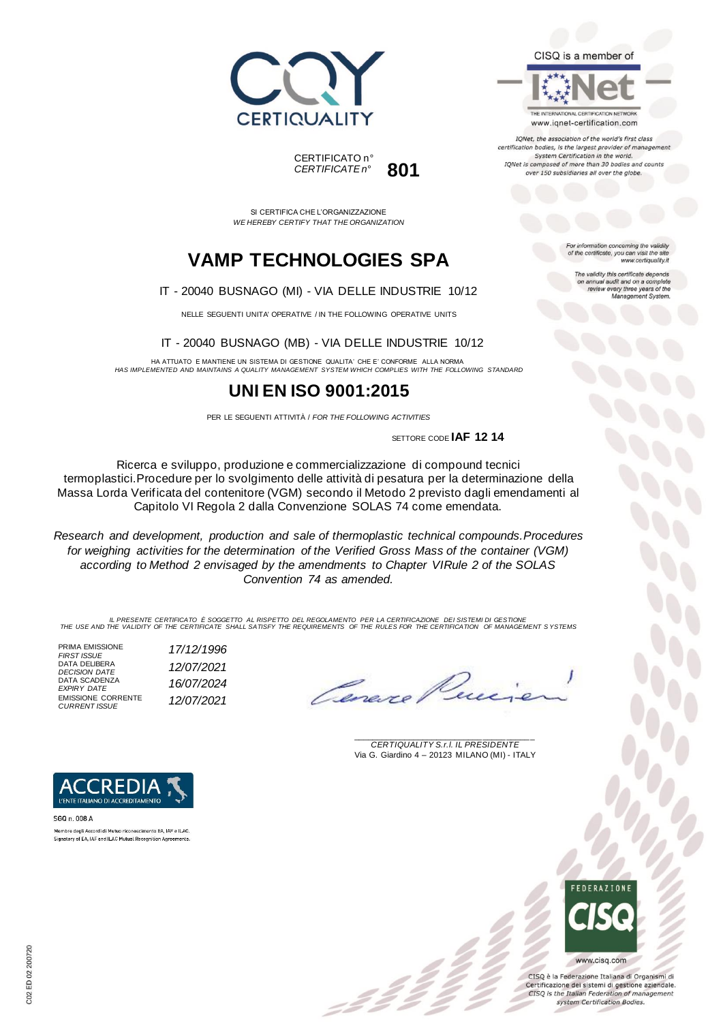



SI CERTIFICA CHE L'ORGANIZZAZIONE *WE HEREBY CERTIFY THAT THE ORGANIZATION*

## **VAMP TECHNOLOGIES SPA**

IT - 20040 BUSNAGO (MI) - VIA DELLE INDUSTRIE 10/12

NELLE SEGUENTI UNITA' OPERATIVE / IN THE FOLLOWING OPERATIVE UNITS

IT - 20040 BUSNAGO (MB) - VIA DELLE INDUSTRIE 10/12

HA ATTUATO E MANTIENE UN SISTEMA DI GESTIONE QUALITA' CHE E' CONFORME ALLA NORMA *HAS IMPLEMENTED AND MAINTAINS A QUALITY MANAGEMENT SYSTEM WHICH COMPLIES WITH THE FOLLOWING STANDARD*

### **UNI EN ISO 9001:2015**

PER LE SEGUENTI ATTIVITÀ / *FOR THE FOLLOWING ACTIVITIES*

SETTORE CODE **IAF 12 14**

Ricerca e sviluppo, produzione e commercializzazione di compound tecnici termoplastici.Procedure per lo svolgimento delle attività di pesatura per la determinazione della Massa Lorda Verificata del contenitore (VGM) secondo il Metodo 2 previsto dagli emendamenti al Capitolo VI Regola 2 dalla Convenzione SOLAS 74 come emendata.

*Research and development, production and sale of thermoplastic technical compounds.Procedures for weighing activities for the determination of the Verified Gross Mass of the container (VGM) according to Method 2 envisaged by the amendments to Chapter VIRule 2 of the SOLAS Convention 74 as amended.*

IL PRESENTE CERTIFICATO E SOGGETTO AL RISPETTO DEL REGOLAMENTO PER LA CERTIFICAZIONE DEI SISTEMI DI GESTIONE<br>THE USE AND THE VALIDITY OF THE CERTIFICATE SHALL SATISFY THE REQUIREMENTS OF THE RULES FOR THE CERTIFICATION OF

PRIMA EMISSIONE<br>FIRST ISSUE *FIRST ISSUE 17/12/1996* DATA DELIBERA *DECISION DATE 12/07/2021* DATA SCADENZA *EXPIRY DATE 16/07/2024* EMISSIONE CORRENTE *CURRENT ISSUE 12/07/2021*

Cenev

\_\_\_\_\_\_\_\_\_\_\_\_\_\_\_\_\_\_\_\_\_\_\_\_\_\_\_\_\_\_\_\_\_\_\_\_\_\_\_ *CERTIQUALITY S.r.l. IL PRESIDENTE* Via G. Giardino 4 – 20123 MILANO (MI) - ITALY



CISO è la Federazione Italiana di Organismi di Certificazione dei sistemi di gestione aziendale. CISQ is the Italian Federation of management system Certification Bodies.



SGQ n. 008 A Membro degli Accordi di Mutuo riconoscimento EA. IAF e ILAC Signatory of EA, IAF and ILAC Mutual Recognition Agreements



The validity this certificate depends on annual audit and on a complete<br>review every three years of the<br>Management System.

CISQ is a member of



IQNet, the association of the world's first class certification bodies, is the largest provider of managen System Certification in the world. IQNet is composed of more than 30 bodies and counts over 150 subsidiaries all over the globe.